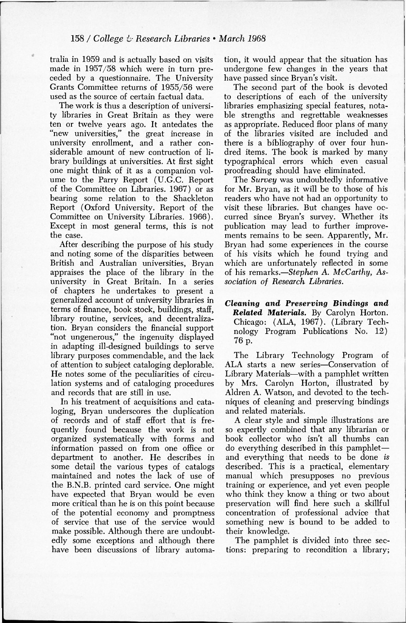tralia in 1959 and is actually based on visits made in 1957/58 which were in turn preceded by a questionnaire. The University Grants Committee returns of 1955/56 were used as the source of certain factual data.

The work is thus a description of university libraries in Great Britain as they were ten or twelve years ago. It antedates the "new universities," the great increase in university enrollment, and a rather considerable amount of new contruction of library buildings at universities. At first sight one might think of it as a companion volume to the Parry Report (U.G.C. Report of the Committee on Libraries. 1967) or as bearing some relation to the Shackleton Report (Oxford University. Report of the Committee on University Libraries. 1966). Except in most general terms, this is not the case.

After describing the purpose of his study and noting some of the disparities between British and Australian universities, Bryan appraises the place of the library in the university in Great Britain. In a series of chapters he undertakes to present a generalized account of university libraries in terms of finance, book stock, buildings, staff, library routine, services, and decentralization. Bryan considers the financial support "not ungenerous," the ingenuity displayed in adapting ill-designed buildings to serve library purposes commendable, and the lack of attention to subject cataloging deplorable. He notes some of the peculiarities of circulation systems and of cataloging procedures and records that are still in use.

In his treatment of acquisitions and cataloging, Bryan underscores the duplication of records and of staff effort that is frequently found because the work is not organized systematically with forms and information passed on from one office or department to another. He describes in some detail the various types of catalogs maintained and notes the lack of use of the B.N.B. printed card service. One might have expected that Bryan would be even more critical than he is on this point because of the potential economy and promptness of service that use of the service would make possible. Although there are undoubtedly some exceptions and although there have been discussions of library automa-

tion, it would appear that the situation has undergone few changes in the years that have passed since Bryan's visit.

The second part of the book is devoted to descriptions of each of the university libraries emphasizing special features, notable strengths and regrettable weaknesses as appropriate. Reduced floor plans of many of the libraries visited are included and there is a bibliography of over four hundred items. The book is marked by many typographical errors which even casual proofreading should have eliminated.

The *Survey* was undoubtedly informative for Mr. Bryan, as it will be to those of his readers who have not had an opportunity to visit these libraries. But changes have occurred since Bryan's survey. Whether its publication may lead to further improvements remains to be seen. Apparently, Mr. Bryan had some experiences in the course of his visits which he found trying and which are unfortunately reflected in some of his remarks.—*Stephen A. McCarthy, Association of Research Libraries.* 

*Cleaning and Preserving Bindings and Related Materials.* By Carolyn Horton. Chicago: (ALA, 1967). (Library Technology Program Publications No. 12) 76 p.

The Library Technology Program of ALA starts a new series—Conservation of Library Materials—with a pamphlet written by Mrs. Carolyn Horton, illustrated by Aldren A. Watson, and devoted to the techniques of cleaning and preserving bindings and related materials.

A clear style and simple illustrations are so expertly combined that any librarian or book collector who isn't all thumbs can do everything described in this pamphlet and everything that needs to be done *is*  described. This is a practical, elementary manual which presupposes no previous training or experience, and yet even people who think they know a thing or two about preservation will find here such a skillful concentration of professional advice that something new is bound to be added to their knowledge.

The pamphlet is divided into three sections: preparing to recondition a library;